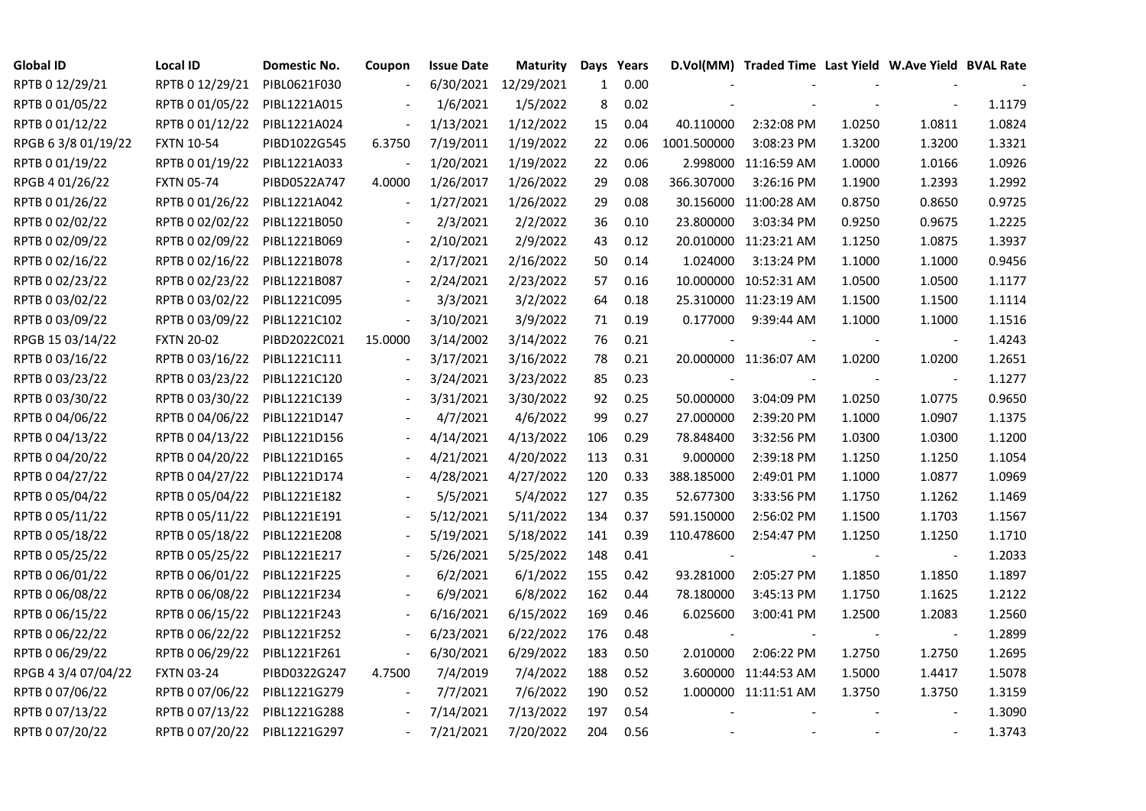| <b>Global ID</b>    | <b>Local ID</b>   | Domestic No. | Coupon                   | <b>Issue Date</b> | <b>Maturity</b>      |              | Days Years |             | D.Vol(MM) Traded Time Last Yield W.Ave Yield BVAL Rate |        |                          |        |
|---------------------|-------------------|--------------|--------------------------|-------------------|----------------------|--------------|------------|-------------|--------------------------------------------------------|--------|--------------------------|--------|
| RPTB 0 12/29/21     | RPTB 0 12/29/21   | PIBL0621F030 |                          |                   | 6/30/2021 12/29/2021 | $\mathbf{1}$ | 0.00       |             |                                                        |        |                          |        |
| RPTB 0 01/05/22     | RPTB 0 01/05/22   | PIBL1221A015 |                          | 1/6/2021          | 1/5/2022             | 8            | 0.02       |             |                                                        |        |                          | 1.1179 |
| RPTB 0 01/12/22     | RPTB 0 01/12/22   | PIBL1221A024 |                          | 1/13/2021         | 1/12/2022            | 15           | 0.04       | 40.110000   | 2:32:08 PM                                             | 1.0250 | 1.0811                   | 1.0824 |
| RPGB 63/8 01/19/22  | <b>FXTN 10-54</b> | PIBD1022G545 | 6.3750                   | 7/19/2011         | 1/19/2022            | 22           | 0.06       | 1001.500000 | 3:08:23 PM                                             | 1.3200 | 1.3200                   | 1.3321 |
| RPTB 0 01/19/22     | RPTB 0 01/19/22   | PIBL1221A033 |                          | 1/20/2021         | 1/19/2022            | 22           | 0.06       |             | 2.998000 11:16:59 AM                                   | 1.0000 | 1.0166                   | 1.0926 |
| RPGB 4 01/26/22     | <b>FXTN 05-74</b> | PIBD0522A747 | 4.0000                   | 1/26/2017         | 1/26/2022            | 29           | 0.08       | 366.307000  | 3:26:16 PM                                             | 1.1900 | 1.2393                   | 1.2992 |
| RPTB 0 01/26/22     | RPTB 0 01/26/22   | PIBL1221A042 | $\overline{\phantom{a}}$ | 1/27/2021         | 1/26/2022            | 29           | 0.08       | 30.156000   | 11:00:28 AM                                            | 0.8750 | 0.8650                   | 0.9725 |
| RPTB 0 02/02/22     | RPTB 0 02/02/22   | PIBL1221B050 |                          | 2/3/2021          | 2/2/2022             | 36           | 0.10       | 23.800000   | 3:03:34 PM                                             | 0.9250 | 0.9675                   | 1.2225 |
| RPTB 0 02/09/22     | RPTB 0 02/09/22   | PIBL1221B069 |                          | 2/10/2021         | 2/9/2022             | 43           | 0.12       |             | 20.010000 11:23:21 AM                                  | 1.1250 | 1.0875                   | 1.3937 |
| RPTB 0 02/16/22     | RPTB 0 02/16/22   | PIBL1221B078 |                          | 2/17/2021         | 2/16/2022            | 50           | 0.14       | 1.024000    | 3:13:24 PM                                             | 1.1000 | 1.1000                   | 0.9456 |
| RPTB 0 02/23/22     | RPTB 0 02/23/22   | PIBL1221B087 | $\sim$                   | 2/24/2021         | 2/23/2022            | 57           | $0.16\,$   |             | 10.000000 10:52:31 AM                                  | 1.0500 | 1.0500                   | 1.1177 |
| RPTB 0 03/02/22     | RPTB 0 03/02/22   | PIBL1221C095 |                          | 3/3/2021          | 3/2/2022             | 64           | 0.18       |             | 25.310000 11:23:19 AM                                  | 1.1500 | 1.1500                   | 1.1114 |
| RPTB 0 03/09/22     | RPTB 0 03/09/22   | PIBL1221C102 | $\frac{1}{2}$            | 3/10/2021         | 3/9/2022             | 71           | 0.19       | 0.177000    | 9:39:44 AM                                             | 1.1000 | 1.1000                   | 1.1516 |
| RPGB 15 03/14/22    | <b>FXTN 20-02</b> | PIBD2022C021 | 15.0000                  | 3/14/2002         | 3/14/2022            | 76           | 0.21       |             |                                                        |        | $\blacksquare$           | 1.4243 |
| RPTB 0 03/16/22     | RPTB 0 03/16/22   | PIBL1221C111 |                          | 3/17/2021         | 3/16/2022            | 78           | 0.21       |             | 20.000000 11:36:07 AM                                  | 1.0200 | 1.0200                   | 1.2651 |
| RPTB 0 03/23/22     | RPTB 0 03/23/22   | PIBL1221C120 |                          | 3/24/2021         | 3/23/2022            | 85           | 0.23       |             |                                                        |        | $\overline{\phantom{a}}$ | 1.1277 |
| RPTB 0 03/30/22     | RPTB 0 03/30/22   | PIBL1221C139 |                          | 3/31/2021         | 3/30/2022            | 92           | 0.25       | 50.000000   | 3:04:09 PM                                             | 1.0250 | 1.0775                   | 0.9650 |
| RPTB 0 04/06/22     | RPTB 0 04/06/22   | PIBL1221D147 |                          | 4/7/2021          | 4/6/2022             | 99           | 0.27       | 27.000000   | 2:39:20 PM                                             | 1.1000 | 1.0907                   | 1.1375 |
| RPTB 0 04/13/22     | RPTB 0 04/13/22   | PIBL1221D156 |                          | 4/14/2021         | 4/13/2022            | 106          | 0.29       | 78.848400   | 3:32:56 PM                                             | 1.0300 | 1.0300                   | 1.1200 |
| RPTB 0 04/20/22     | RPTB 0 04/20/22   | PIBL1221D165 |                          | 4/21/2021         | 4/20/2022            | 113          | 0.31       | 9.000000    | 2:39:18 PM                                             | 1.1250 | 1.1250                   | 1.1054 |
| RPTB 0 04/27/22     | RPTB 0 04/27/22   | PIBL1221D174 |                          | 4/28/2021         | 4/27/2022            | 120          | 0.33       | 388.185000  | 2:49:01 PM                                             | 1.1000 | 1.0877                   | 1.0969 |
| RPTB 0 05/04/22     | RPTB 0 05/04/22   | PIBL1221E182 |                          | 5/5/2021          | 5/4/2022             | 127          | 0.35       | 52.677300   | 3:33:56 PM                                             | 1.1750 | 1.1262                   | 1.1469 |
| RPTB 0 05/11/22     | RPTB 0 05/11/22   | PIBL1221E191 |                          | 5/12/2021         | 5/11/2022            | 134          | 0.37       | 591.150000  | 2:56:02 PM                                             | 1.1500 | 1.1703                   | 1.1567 |
| RPTB 0 05/18/22     | RPTB 0 05/18/22   | PIBL1221E208 |                          | 5/19/2021         | 5/18/2022            | 141          | 0.39       | 110.478600  | 2:54:47 PM                                             | 1.1250 | 1.1250                   | 1.1710 |
| RPTB 0 05/25/22     | RPTB 0 05/25/22   | PIBL1221E217 |                          | 5/26/2021         | 5/25/2022            | 148          | 0.41       |             |                                                        |        | $\overline{\phantom{a}}$ | 1.2033 |
| RPTB 0 06/01/22     | RPTB 0 06/01/22   | PIBL1221F225 |                          | 6/2/2021          | 6/1/2022             | 155          | 0.42       | 93.281000   | 2:05:27 PM                                             | 1.1850 | 1.1850                   | 1.1897 |
| RPTB 0 06/08/22     | RPTB 0 06/08/22   | PIBL1221F234 |                          | 6/9/2021          | 6/8/2022             | 162          | 0.44       | 78.180000   | 3:45:13 PM                                             | 1.1750 | 1.1625                   | 1.2122 |
| RPTB 0 06/15/22     | RPTB 0 06/15/22   | PIBL1221F243 |                          | 6/16/2021         | 6/15/2022            | 169          | 0.46       | 6.025600    | 3:00:41 PM                                             | 1.2500 | 1.2083                   | 1.2560 |
| RPTB 0 06/22/22     | RPTB 0 06/22/22   | PIBL1221F252 |                          | 6/23/2021         | 6/22/2022            | 176          | 0.48       |             |                                                        |        | $\overline{\phantom{a}}$ | 1.2899 |
| RPTB 0 06/29/22     | RPTB 0 06/29/22   | PIBL1221F261 |                          | 6/30/2021         | 6/29/2022            | 183          | 0.50       | 2.010000    | 2:06:22 PM                                             | 1.2750 | 1.2750                   | 1.2695 |
| RPGB 4 3/4 07/04/22 | <b>FXTN 03-24</b> | PIBD0322G247 | 4.7500                   | 7/4/2019          | 7/4/2022             | 188          | 0.52       |             | 3.600000 11:44:53 AM                                   | 1.5000 | 1.4417                   | 1.5078 |
| RPTB 0 07/06/22     | RPTB 0 07/06/22   | PIBL1221G279 |                          | 7/7/2021          | 7/6/2022             | 190          | 0.52       |             | 1.000000 11:11:51 AM                                   | 1.3750 | 1.3750                   | 1.3159 |
| RPTB 0 07/13/22     | RPTB 0 07/13/22   | PIBL1221G288 |                          | 7/14/2021         | 7/13/2022            | 197          | 0.54       |             |                                                        |        |                          | 1.3090 |
| RPTB 0 07/20/22     | RPTB 0 07/20/22   | PIBL1221G297 |                          | 7/21/2021         | 7/20/2022            | 204          | 0.56       |             |                                                        |        |                          | 1.3743 |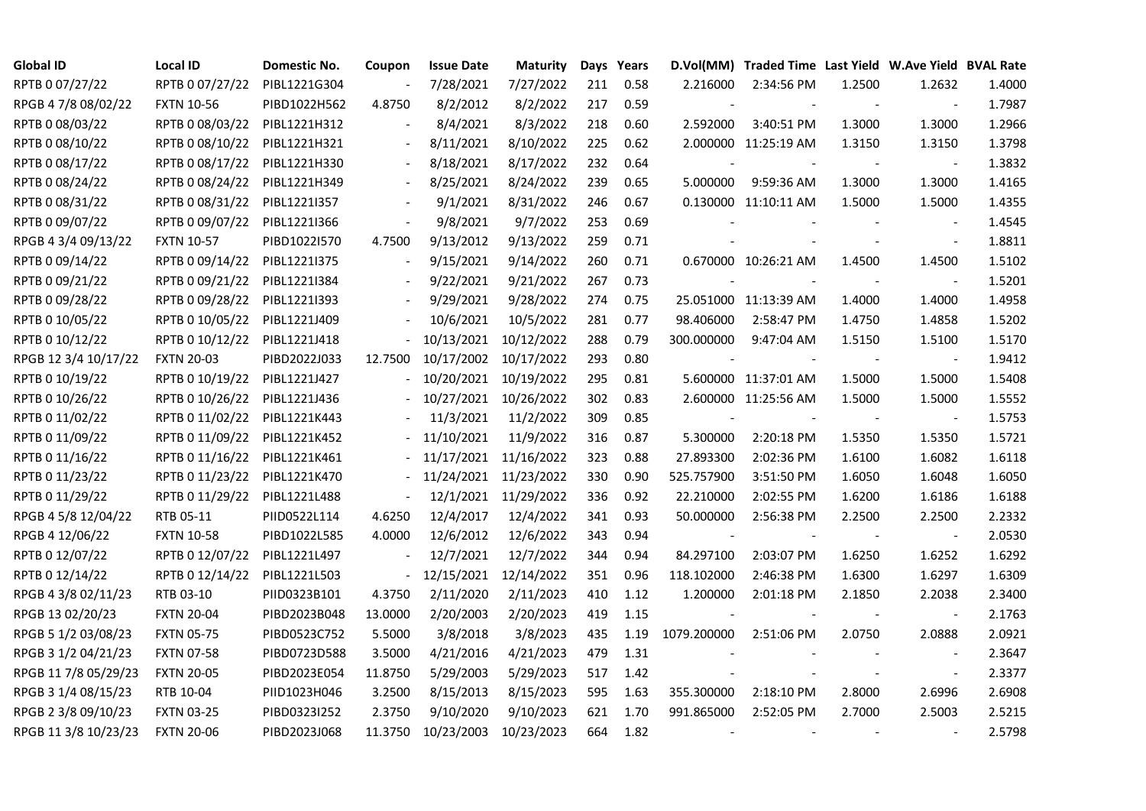| <b>Global ID</b>     | Local ID          | Domestic No. | Coupon                   | <b>Issue Date</b> | <b>Maturity</b>       |     | Days Years |                          | D.Vol(MM) Traded Time Last Yield W.Ave Yield BVAL Rate |        |                          |        |
|----------------------|-------------------|--------------|--------------------------|-------------------|-----------------------|-----|------------|--------------------------|--------------------------------------------------------|--------|--------------------------|--------|
| RPTB 0 07/27/22      | RPTB 0 07/27/22   | PIBL1221G304 |                          | 7/28/2021         | 7/27/2022             | 211 | 0.58       | 2.216000                 | 2:34:56 PM                                             | 1.2500 | 1.2632                   | 1.4000 |
| RPGB 4 7/8 08/02/22  | <b>FXTN 10-56</b> | PIBD1022H562 | 4.8750                   | 8/2/2012          | 8/2/2022              | 217 | 0.59       |                          |                                                        |        |                          | 1.7987 |
| RPTB 0 08/03/22      | RPTB 0 08/03/22   | PIBL1221H312 | $\overline{\phantom{a}}$ | 8/4/2021          | 8/3/2022              | 218 | 0.60       | 2.592000                 | 3:40:51 PM                                             | 1.3000 | 1.3000                   | 1.2966 |
| RPTB 0 08/10/22      | RPTB 0 08/10/22   | PIBL1221H321 | $\overline{\phantom{a}}$ | 8/11/2021         | 8/10/2022             | 225 | 0.62       |                          | 2.000000 11:25:19 AM                                   | 1.3150 | 1.3150                   | 1.3798 |
| RPTB 0 08/17/22      | RPTB 0 08/17/22   | PIBL1221H330 | $\overline{\phantom{a}}$ | 8/18/2021         | 8/17/2022             | 232 | 0.64       |                          |                                                        |        |                          | 1.3832 |
| RPTB 0 08/24/22      | RPTB 0 08/24/22   | PIBL1221H349 |                          | 8/25/2021         | 8/24/2022             | 239 | 0.65       | 5.000000                 | 9:59:36 AM                                             | 1.3000 | 1.3000                   | 1.4165 |
| RPTB 0 08/31/22      | RPTB 0 08/31/22   | PIBL1221I357 |                          | 9/1/2021          | 8/31/2022             | 246 | 0.67       |                          | 0.130000 11:10:11 AM                                   | 1.5000 | 1.5000                   | 1.4355 |
| RPTB 0 09/07/22      | RPTB 0 09/07/22   | PIBL1221I366 | $\overline{\phantom{a}}$ | 9/8/2021          | 9/7/2022              | 253 | 0.69       |                          |                                                        |        |                          | 1.4545 |
| RPGB 4 3/4 09/13/22  | <b>FXTN 10-57</b> | PIBD1022I570 | 4.7500                   | 9/13/2012         | 9/13/2022             | 259 | 0.71       |                          |                                                        |        | $\overline{\phantom{a}}$ | 1.8811 |
| RPTB 0 09/14/22      | RPTB 0 09/14/22   | PIBL1221I375 | $\overline{\phantom{a}}$ | 9/15/2021         | 9/14/2022             | 260 | 0.71       |                          | 0.670000 10:26:21 AM                                   | 1.4500 | 1.4500                   | 1.5102 |
| RPTB 0 09/21/22      | RPTB 0 09/21/22   | PIBL1221I384 | $\overline{\phantom{a}}$ | 9/22/2021         | 9/21/2022             | 267 | 0.73       |                          |                                                        |        | $\blacksquare$           | 1.5201 |
| RPTB 0 09/28/22      | RPTB 0 09/28/22   | PIBL1221I393 |                          | 9/29/2021         | 9/28/2022             | 274 | 0.75       |                          | 25.051000 11:13:39 AM                                  | 1.4000 | 1.4000                   | 1.4958 |
| RPTB 0 10/05/22      | RPTB 0 10/05/22   | PIBL1221J409 |                          | 10/6/2021         | 10/5/2022             | 281 | 0.77       | 98.406000                | 2:58:47 PM                                             | 1.4750 | 1.4858                   | 1.5202 |
| RPTB 0 10/12/22      | RPTB 0 10/12/22   | PIBL1221J418 |                          |                   | 10/13/2021 10/12/2022 | 288 | 0.79       | 300.000000               | 9:47:04 AM                                             | 1.5150 | 1.5100                   | 1.5170 |
| RPGB 12 3/4 10/17/22 | <b>FXTN 20-03</b> | PIBD2022J033 | 12.7500                  |                   | 10/17/2002 10/17/2022 | 293 | 0.80       |                          |                                                        |        | $\overline{\phantom{a}}$ | 1.9412 |
| RPTB 0 10/19/22      | RPTB 0 10/19/22   | PIBL1221J427 |                          |                   | 10/20/2021 10/19/2022 | 295 | 0.81       |                          | 5.600000 11:37:01 AM                                   | 1.5000 | 1.5000                   | 1.5408 |
| RPTB 0 10/26/22      | RPTB 0 10/26/22   | PIBL1221J436 |                          |                   | 10/27/2021 10/26/2022 | 302 | 0.83       |                          | 2.600000 11:25:56 AM                                   | 1.5000 | 1.5000                   | 1.5552 |
| RPTB 0 11/02/22      | RPTB 0 11/02/22   | PIBL1221K443 |                          | 11/3/2021         | 11/2/2022             | 309 | 0.85       |                          |                                                        |        |                          | 1.5753 |
| RPTB 0 11/09/22      | RPTB 0 11/09/22   | PIBL1221K452 |                          | 11/10/2021        | 11/9/2022             | 316 | 0.87       | 5.300000                 | 2:20:18 PM                                             | 1.5350 | 1.5350                   | 1.5721 |
| RPTB 0 11/16/22      | RPTB 0 11/16/22   | PIBL1221K461 |                          |                   | 11/17/2021 11/16/2022 | 323 | 0.88       | 27.893300                | 2:02:36 PM                                             | 1.6100 | 1.6082                   | 1.6118 |
| RPTB 0 11/23/22      | RPTB 0 11/23/22   | PIBL1221K470 |                          |                   | 11/24/2021 11/23/2022 | 330 | 0.90       | 525.757900               | 3:51:50 PM                                             | 1.6050 | 1.6048                   | 1.6050 |
| RPTB 0 11/29/22      | RPTB 0 11/29/22   | PIBL1221L488 |                          |                   | 12/1/2021 11/29/2022  | 336 | 0.92       | 22.210000                | 2:02:55 PM                                             | 1.6200 | 1.6186                   | 1.6188 |
| RPGB 4 5/8 12/04/22  | RTB 05-11         | PIID0522L114 | 4.6250                   | 12/4/2017         | 12/4/2022             | 341 | 0.93       | 50.000000                | 2:56:38 PM                                             | 2.2500 | 2.2500                   | 2.2332 |
| RPGB 4 12/06/22      | <b>FXTN 10-58</b> | PIBD1022L585 | 4.0000                   | 12/6/2012         | 12/6/2022             | 343 | 0.94       |                          |                                                        |        |                          | 2.0530 |
| RPTB 0 12/07/22      | RPTB 0 12/07/22   | PIBL1221L497 | $\overline{\phantom{a}}$ | 12/7/2021         | 12/7/2022             | 344 | 0.94       | 84.297100                | 2:03:07 PM                                             | 1.6250 | 1.6252                   | 1.6292 |
| RPTB 0 12/14/22      | RPTB 0 12/14/22   | PIBL1221L503 | $\blacksquare$           | 12/15/2021        | 12/14/2022            | 351 | 0.96       | 118.102000               | 2:46:38 PM                                             | 1.6300 | 1.6297                   | 1.6309 |
| RPGB 4 3/8 02/11/23  | RTB 03-10         | PIID0323B101 | 4.3750                   | 2/11/2020         | 2/11/2023             | 410 | 1.12       | 1.200000                 | 2:01:18 PM                                             | 2.1850 | 2.2038                   | 2.3400 |
| RPGB 13 02/20/23     | <b>FXTN 20-04</b> | PIBD2023B048 | 13.0000                  | 2/20/2003         | 2/20/2023             | 419 | 1.15       | $\sim$                   |                                                        |        | $\blacksquare$           | 2.1763 |
| RPGB 5 1/2 03/08/23  | <b>FXTN 05-75</b> | PIBD0523C752 | 5.5000                   | 3/8/2018          | 3/8/2023              | 435 | 1.19       | 1079.200000              | 2:51:06 PM                                             | 2.0750 | 2.0888                   | 2.0921 |
| RPGB 3 1/2 04/21/23  | <b>FXTN 07-58</b> | PIBD0723D588 | 3.5000                   | 4/21/2016         | 4/21/2023             | 479 | 1.31       |                          |                                                        |        |                          | 2.3647 |
| RPGB 11 7/8 05/29/23 | <b>FXTN 20-05</b> | PIBD2023E054 | 11.8750                  | 5/29/2003         | 5/29/2023             | 517 | 1.42       |                          |                                                        |        | $\blacksquare$           | 2.3377 |
| RPGB 3 1/4 08/15/23  | RTB 10-04         | PIID1023H046 | 3.2500                   | 8/15/2013         | 8/15/2023             | 595 | 1.63       | 355.300000               | 2:18:10 PM                                             | 2.8000 | 2.6996                   | 2.6908 |
| RPGB 2 3/8 09/10/23  | <b>FXTN 03-25</b> | PIBD0323I252 | 2.3750                   | 9/10/2020         | 9/10/2023             | 621 | 1.70       | 991.865000               | 2:52:05 PM                                             | 2.7000 | 2.5003                   | 2.5215 |
| RPGB 11 3/8 10/23/23 | <b>FXTN 20-06</b> | PIBD2023J068 | 11.3750                  | 10/23/2003        | 10/23/2023            | 664 | 1.82       | $\overline{\phantom{a}}$ |                                                        |        |                          | 2.5798 |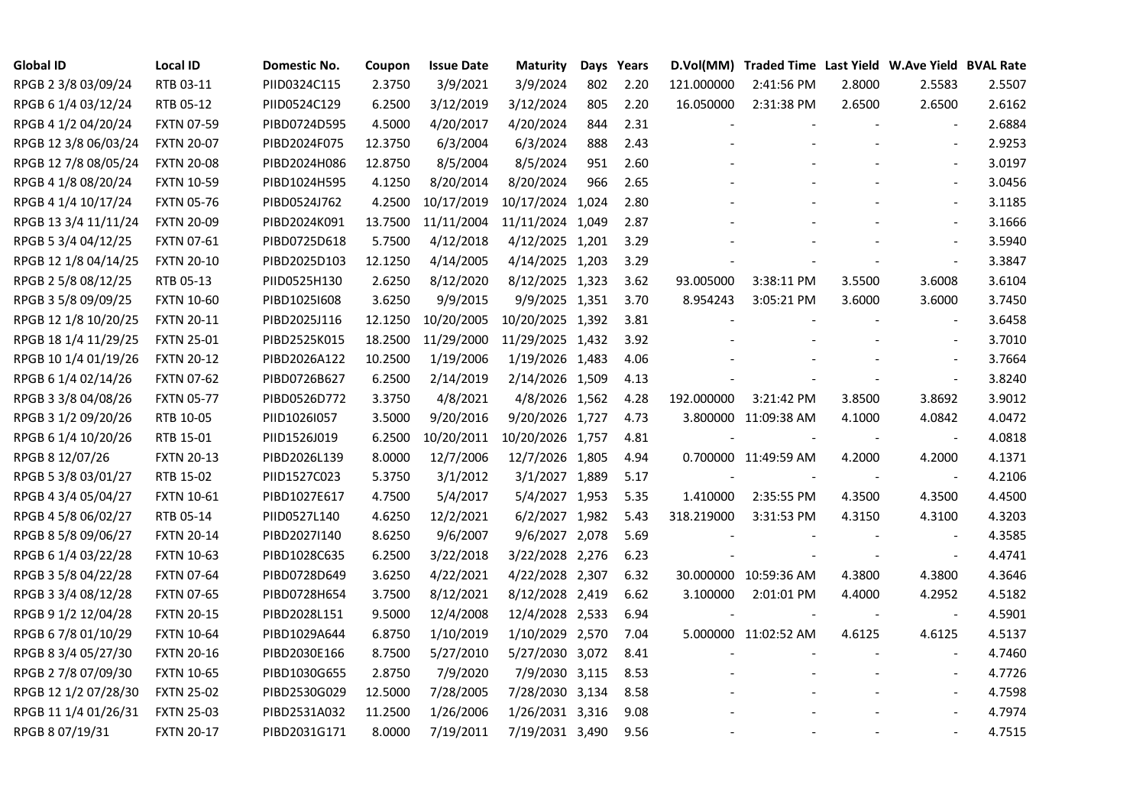| <b>Global ID</b>     | <b>Local ID</b>   | Domestic No. | Coupon  | <b>Issue Date</b> | <b>Maturity</b>  | Days | Years |                          | D.Vol(MM) Traded Time Last Yield W.Ave Yield BVAL Rate |        |                          |        |
|----------------------|-------------------|--------------|---------|-------------------|------------------|------|-------|--------------------------|--------------------------------------------------------|--------|--------------------------|--------|
| RPGB 2 3/8 03/09/24  | RTB 03-11         | PIID0324C115 | 2.3750  | 3/9/2021          | 3/9/2024         | 802  | 2.20  | 121.000000               | 2:41:56 PM                                             | 2.8000 | 2.5583                   | 2.5507 |
| RPGB 6 1/4 03/12/24  | RTB 05-12         | PIID0524C129 | 6.2500  | 3/12/2019         | 3/12/2024        | 805  | 2.20  | 16.050000                | 2:31:38 PM                                             | 2.6500 | 2.6500                   | 2.6162 |
| RPGB 4 1/2 04/20/24  | <b>FXTN 07-59</b> | PIBD0724D595 | 4.5000  | 4/20/2017         | 4/20/2024        | 844  | 2.31  |                          |                                                        |        | $\blacksquare$           | 2.6884 |
| RPGB 12 3/8 06/03/24 | <b>FXTN 20-07</b> | PIBD2024F075 | 12.3750 | 6/3/2004          | 6/3/2024         | 888  | 2.43  |                          |                                                        |        | $\overline{\phantom{a}}$ | 2.9253 |
| RPGB 12 7/8 08/05/24 | <b>FXTN 20-08</b> | PIBD2024H086 | 12.8750 | 8/5/2004          | 8/5/2024         | 951  | 2.60  |                          |                                                        |        | $\blacksquare$           | 3.0197 |
| RPGB 4 1/8 08/20/24  | <b>FXTN 10-59</b> | PIBD1024H595 | 4.1250  | 8/20/2014         | 8/20/2024        | 966  | 2.65  |                          |                                                        |        | $\blacksquare$           | 3.0456 |
| RPGB 4 1/4 10/17/24  | <b>FXTN 05-76</b> | PIBD0524J762 | 4.2500  | 10/17/2019        | 10/17/2024 1,024 |      | 2.80  |                          |                                                        |        | $\blacksquare$           | 3.1185 |
| RPGB 13 3/4 11/11/24 | <b>FXTN 20-09</b> | PIBD2024K091 | 13.7500 | 11/11/2004        | 11/11/2024 1,049 |      | 2.87  |                          |                                                        |        | $\overline{\phantom{a}}$ | 3.1666 |
| RPGB 5 3/4 04/12/25  | <b>FXTN 07-61</b> | PIBD0725D618 | 5.7500  | 4/12/2018         | 4/12/2025 1,201  |      | 3.29  |                          |                                                        |        |                          | 3.5940 |
| RPGB 12 1/8 04/14/25 | <b>FXTN 20-10</b> | PIBD2025D103 | 12.1250 | 4/14/2005         | 4/14/2025 1,203  |      | 3.29  |                          |                                                        |        | $\blacksquare$           | 3.3847 |
| RPGB 2 5/8 08/12/25  | RTB 05-13         | PIID0525H130 | 2.6250  | 8/12/2020         | 8/12/2025 1,323  |      | 3.62  | 93.005000                | 3:38:11 PM                                             | 3.5500 | 3.6008                   | 3.6104 |
| RPGB 3 5/8 09/09/25  | <b>FXTN 10-60</b> | PIBD10251608 | 3.6250  | 9/9/2015          | 9/9/2025 1,351   |      | 3.70  | 8.954243                 | 3:05:21 PM                                             | 3.6000 | 3.6000                   | 3.7450 |
| RPGB 12 1/8 10/20/25 | <b>FXTN 20-11</b> | PIBD2025J116 | 12.1250 | 10/20/2005        | 10/20/2025 1,392 |      | 3.81  |                          |                                                        |        | $\blacksquare$           | 3.6458 |
| RPGB 18 1/4 11/29/25 | <b>FXTN 25-01</b> | PIBD2525K015 | 18.2500 | 11/29/2000        | 11/29/2025 1,432 |      | 3.92  |                          |                                                        |        | $\sim$                   | 3.7010 |
| RPGB 10 1/4 01/19/26 | <b>FXTN 20-12</b> | PIBD2026A122 | 10.2500 | 1/19/2006         | 1/19/2026 1,483  |      | 4.06  |                          |                                                        |        | $\blacksquare$           | 3.7664 |
| RPGB 6 1/4 02/14/26  | <b>FXTN 07-62</b> | PIBD0726B627 | 6.2500  | 2/14/2019         | 2/14/2026 1,509  |      | 4.13  |                          |                                                        |        |                          | 3.8240 |
| RPGB 3 3/8 04/08/26  | <b>FXTN 05-77</b> | PIBD0526D772 | 3.3750  | 4/8/2021          | 4/8/2026 1,562   |      | 4.28  | 192.000000               | 3:21:42 PM                                             | 3.8500 | 3.8692                   | 3.9012 |
| RPGB 3 1/2 09/20/26  | RTB 10-05         | PIID1026I057 | 3.5000  | 9/20/2016         | 9/20/2026 1,727  |      | 4.73  |                          | 3.800000 11:09:38 AM                                   | 4.1000 | 4.0842                   | 4.0472 |
| RPGB 6 1/4 10/20/26  | RTB 15-01         | PIID1526J019 | 6.2500  | 10/20/2011        | 10/20/2026 1,757 |      | 4.81  |                          |                                                        |        | $\blacksquare$           | 4.0818 |
| RPGB 8 12/07/26      | <b>FXTN 20-13</b> | PIBD2026L139 | 8.0000  | 12/7/2006         | 12/7/2026 1,805  |      | 4.94  |                          | 0.700000 11:49:59 AM                                   | 4.2000 | 4.2000                   | 4.1371 |
| RPGB 5 3/8 03/01/27  | RTB 15-02         | PIID1527C023 | 5.3750  | 3/1/2012          | 3/1/2027 1,889   |      | 5.17  | $\overline{\phantom{a}}$ | $\sim$                                                 |        | $\blacksquare$           | 4.2106 |
| RPGB 4 3/4 05/04/27  | <b>FXTN 10-61</b> | PIBD1027E617 | 4.7500  | 5/4/2017          | 5/4/2027 1,953   |      | 5.35  | 1.410000                 | 2:35:55 PM                                             | 4.3500 | 4.3500                   | 4.4500 |
| RPGB 4 5/8 06/02/27  | RTB 05-14         | PIID0527L140 | 4.6250  | 12/2/2021         | 6/2/2027 1,982   |      | 5.43  | 318.219000               | 3:31:53 PM                                             | 4.3150 | 4.3100                   | 4.3203 |
| RPGB 8 5/8 09/06/27  | <b>FXTN 20-14</b> | PIBD2027I140 | 8.6250  | 9/6/2007          | 9/6/2027 2,078   |      | 5.69  |                          |                                                        |        |                          | 4.3585 |
| RPGB 6 1/4 03/22/28  | <b>FXTN 10-63</b> | PIBD1028C635 | 6.2500  | 3/22/2018         | 3/22/2028 2,276  |      | 6.23  |                          |                                                        |        | $\bar{\phantom{a}}$      | 4.4741 |
| RPGB 3 5/8 04/22/28  | <b>FXTN 07-64</b> | PIBD0728D649 | 3.6250  | 4/22/2021         | 4/22/2028 2,307  |      | 6.32  |                          | 30.000000 10:59:36 AM                                  | 4.3800 | 4.3800                   | 4.3646 |
| RPGB 3 3/4 08/12/28  | <b>FXTN 07-65</b> | PIBD0728H654 | 3.7500  | 8/12/2021         | 8/12/2028 2,419  |      | 6.62  | 3.100000                 | 2:01:01 PM                                             | 4.4000 | 4.2952                   | 4.5182 |
| RPGB 9 1/2 12/04/28  | <b>FXTN 20-15</b> | PIBD2028L151 | 9.5000  | 12/4/2008         | 12/4/2028 2,533  |      | 6.94  | $\overline{\phantom{a}}$ |                                                        |        | $\blacksquare$           | 4.5901 |
| RPGB 6 7/8 01/10/29  | <b>FXTN 10-64</b> | PIBD1029A644 | 6.8750  | 1/10/2019         | 1/10/2029 2,570  |      | 7.04  |                          | 5.000000 11:02:52 AM                                   | 4.6125 | 4.6125                   | 4.5137 |
| RPGB 8 3/4 05/27/30  | <b>FXTN 20-16</b> | PIBD2030E166 | 8.7500  | 5/27/2010         | 5/27/2030 3,072  |      | 8.41  |                          |                                                        |        |                          | 4.7460 |
| RPGB 2 7/8 07/09/30  | <b>FXTN 10-65</b> | PIBD1030G655 | 2.8750  | 7/9/2020          | 7/9/2030 3,115   |      | 8.53  |                          |                                                        |        | $\blacksquare$           | 4.7726 |
| RPGB 12 1/2 07/28/30 | <b>FXTN 25-02</b> | PIBD2530G029 | 12.5000 | 7/28/2005         | 7/28/2030 3,134  |      | 8.58  |                          |                                                        |        | $\overline{\phantom{a}}$ | 4.7598 |
| RPGB 11 1/4 01/26/31 | <b>FXTN 25-03</b> | PIBD2531A032 | 11.2500 | 1/26/2006         | 1/26/2031 3,316  |      | 9.08  |                          |                                                        |        |                          | 4.7974 |
| RPGB 8 07/19/31      | <b>FXTN 20-17</b> | PIBD2031G171 | 8.0000  | 7/19/2011         | 7/19/2031 3,490  |      | 9.56  |                          |                                                        |        | $\blacksquare$           | 4.7515 |